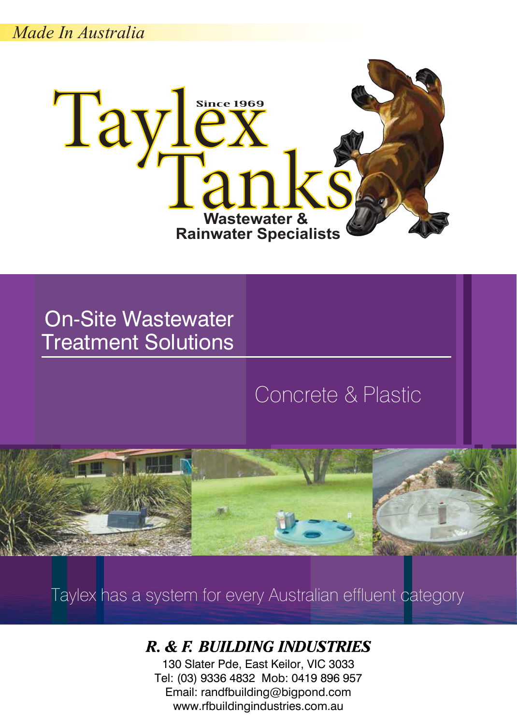*Made In Australia*



On-Site Wastewater Treatment Solutions

## Concrete & Plastic



Taylex has a system for every Australian effluent category

### R. & F. BUILDING INDUSTRIES

130 Slater Pde, East Keilor, VIC 3033 Tel: (03) 9336 4832 Mob: 0419 896 957 Email: randfbuilding@bigpond.com www.rfbuildingindustries.com.au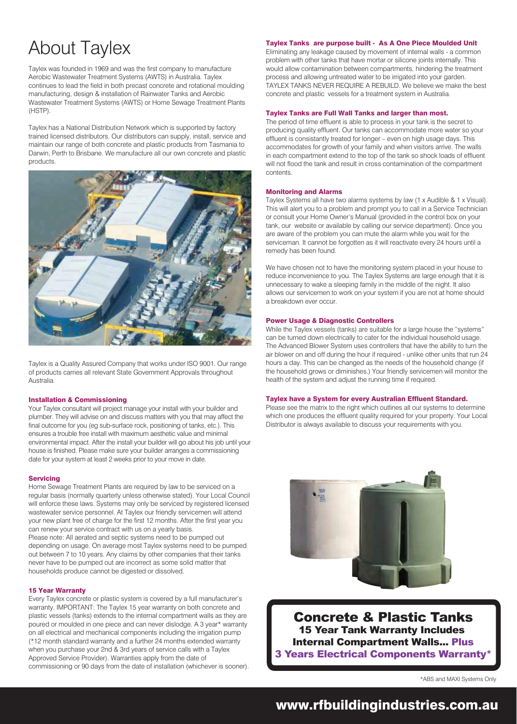## About Taylex

Taylex was founded in 1969 and was the first company to manufacture Aerobic Wastewater Treatment Systems (AWTS) in Australia. Taylex continues to lead the field in both precast concrete and rotational moulding manufacturing, design & installation of Rainwater Tanks and Aerobic Wastewater Treatment Systems (AWTS) or Home Sewage Treatment Plants (HSTP).

Taylex has a National Distribution Network which is supported by factory trained licensed distributors. Our distributors can supply, install, service and maintain our range of both concrete and plastic products from Tasmania to Darwin, Perth to Brisbane. We manufacture all our own concrete and plastic products.



Taylex is a Quality Assured Company that works under ISO 9001. Our range of products carries all relevant State Government Approvals throughout Australia.

#### Installation & Commissioning

Your Taylex consultant will project manage your install with your builder and plumber. They will advise on and discuss matters with you that may affect the final outcome for you (eg sub-surface rock, positioning of tanks, etc.). This ensures a trouble free install with maximum aesthetic value and minimal environmental impact. After the install your builder will go about his job until your house is finished. Please make sure your builder arranges a commissioning date for your system at least 2 weeks prior to your move in date.

#### Servicing

Home Sewage Treatment Plants are required by law to be serviced on a regular basis (normally quarterly unless otherwise stated). Your Local Council will enforce these laws. Systems may only be serviced by registered licensed wastewater service personnel. At Taylex our friendly servicemen will attend your new plant free of charge for the first 12 months. After the first year you can renew your service contract with us on a yearly basis. Please note: All aerated and septic systems need to be pumped out

depending on usage. On average most Taylex systems need to be pumped out between 7 to 10 years. Any claims by other companies that their tanks never have to be pumped out are incorrect as some solid matter that households produce cannot be digested or dissolved.

#### 15 Year Warranty

Every Taylex concrete or plastic system is covered by a full manufacturer's warranty. IMPORTANT: The Taylex 15 year warranty on both concrete and plastic vessels (tanks) extends to the internal compartment walls as they are poured or moulded in one piece and can never dislodge. A 3 year\* warranty on all electrical and mechanical components including the irrigation pump (\*12 month standard warranty and a further 24 months extended warranty when you purchase your 2nd & 3rd years of service calls with a Taylex Approved Service Provider). Warranties apply from the date of commissioning or 90 days from the date of installation (whichever is sooner).

#### Taylex Tanks are purpose built - As A One Piece Moulded Unit

Eliminating any leakage caused by movement of internal walls - a common problem with other tanks that have mortar or silicone joints internally. This would allow contamination between compartments, hindering the treatment process and allowing untreated water to be irrigated into your garden. TAYLEX TANKS NEVER REQUIRE A REBUILD. We believe we make the best concrete and plastic vessels for a treatment system in Australia.

#### Taylex Tanks are Full Wall Tanks and larger than most.

The period of time effluent is able to process in your tank is the secret to producing quality effluent. Our tanks can accommodate more water so your effluent is consistantly treated for longer – even on high usage days. This accommodates for growth of your family and when visitors arrive. The walls in each compartment extend to the top of the tank so shock loads of effluent will not flood the tank and result in cross contamination of the compartment contents.

#### Monitoring and Alarms

Taylex Systems all have two alarms systems by law (1 x Audible & 1 x Visual). This will alert you to a problem and prompt you to call in a Service Technician or consult your Home Owner's Manual (provided in the control box on your tank, our website or available by calling our service department). Once you are aware of the problem you can mute the alarm while you wait for the serviceman. It cannot be forgotten as it will reactivate every 24 hours until a remedy has been found.

We have chosen not to have the monitoring system placed in your house to reduce inconvenience to you. The Taylex Systems are large enough that it is unnecessary to wake a sleeping family in the middle of the night. It also allows our servicemen to work on your system if you are not at home should a breakdown ever occur.

#### Power Usage & Diagnostic Controllers

While the Taylex vessels (tanks) are suitable for a large house the "systems" can be turned down electrically to cater for the individual household usage. The Advanced Blower System uses controllers that have the ability to turn the air blower on and off during the hour if required - unlike other units that run 24 hours a day. This can be changed as the needs of the household change (if the household grows or diminishes.) Your friendly servicemen will monitor the health of the system and adjust the running time if required.

#### Taylex have a System for every Australian Effluent Standard.

Please see the matrix to the right which outlines all our systems to determine which one produces the effluent quality required for your property. Your Local Distributor is always available to discuss your requirements with you.



Concrete & Plastic Tanks 15 Year Tank Warranty Includes Internal Compartment Walls... Plus 3 Years Electrical Components Warranty\*

\*ABS and MAXI Systems Only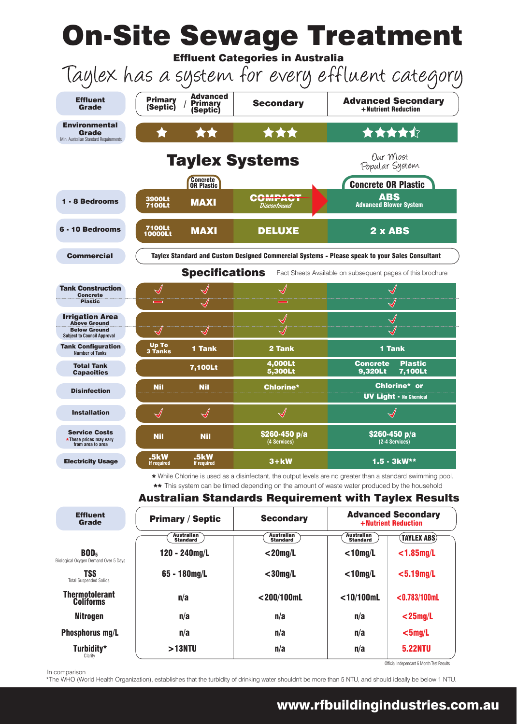|                                                                                                            |                                                                     |                                                           | <b>On-Site Sewage Treatment</b><br><b>Effluent Categories in Australia</b>                                                                                                                                                                                                 |                                                                                                                                      |                                                   |  |  |
|------------------------------------------------------------------------------------------------------------|---------------------------------------------------------------------|-----------------------------------------------------------|----------------------------------------------------------------------------------------------------------------------------------------------------------------------------------------------------------------------------------------------------------------------------|--------------------------------------------------------------------------------------------------------------------------------------|---------------------------------------------------|--|--|
| Taylex has a system for every effluent category                                                            |                                                                     |                                                           |                                                                                                                                                                                                                                                                            |                                                                                                                                      |                                                   |  |  |
| <b>Effluent</b><br><b>Grade</b>                                                                            | <b>Primary</b><br>(Septic)                                          | <b>Advanced</b><br><b>Primary</b><br>(Septic)             | <b>Secondary</b>                                                                                                                                                                                                                                                           |                                                                                                                                      | <b>Advanced Secondary</b><br>+ Nutrient Reduction |  |  |
| <b>Environmental</b><br>Grade<br>Min. Australian Standard Requirements                                     |                                                                     | **                                                        | ***                                                                                                                                                                                                                                                                        |                                                                                                                                      | ★★★★☆                                             |  |  |
|                                                                                                            |                                                                     |                                                           | <b>Taylex Systems</b>                                                                                                                                                                                                                                                      | Our Most<br>Popular System                                                                                                           |                                                   |  |  |
|                                                                                                            |                                                                     | <b>Concrete</b><br>OR Plastic                             |                                                                                                                                                                                                                                                                            | <b>Concrete OR Plastic</b>                                                                                                           |                                                   |  |  |
| 1 - 8 Bedrooms                                                                                             | 3900Lt<br><b>7100Lt</b>                                             | <b>MAXI</b>                                               | COMPACT<br>Discontinued                                                                                                                                                                                                                                                    |                                                                                                                                      | <b>ABS</b><br><b>Advanced Blower System</b>       |  |  |
| 6 - 10 Bedrooms                                                                                            | 7100Lt<br><b>10000Lt</b>                                            | <b>MAXI</b>                                               | <b>DELUXE</b>                                                                                                                                                                                                                                                              |                                                                                                                                      | 2 x ABS                                           |  |  |
| <b>Commercial</b>                                                                                          |                                                                     |                                                           | Taylex Standard and Custom Designed Commercial Systems - Please speak to your Sales Consultant                                                                                                                                                                             |                                                                                                                                      |                                                   |  |  |
|                                                                                                            |                                                                     | <b>Specifications</b>                                     |                                                                                                                                                                                                                                                                            | Fact Sheets Available on subsequent pages of this brochure                                                                           |                                                   |  |  |
|                                                                                                            |                                                                     |                                                           |                                                                                                                                                                                                                                                                            |                                                                                                                                      |                                                   |  |  |
| <b>Tank Construction</b><br><b>Concrete</b><br><b>Plastic</b>                                              | $\equiv$                                                            |                                                           |                                                                                                                                                                                                                                                                            |                                                                                                                                      |                                                   |  |  |
|                                                                                                            |                                                                     |                                                           |                                                                                                                                                                                                                                                                            |                                                                                                                                      |                                                   |  |  |
| <b>Irrigation Area</b><br><b>Above Ground</b><br><b>Below Ground</b><br><b>Subject to Council Approval</b> | $\blacklozenge$                                                     |                                                           |                                                                                                                                                                                                                                                                            |                                                                                                                                      |                                                   |  |  |
| <b>Tank Configuration</b><br><b>Number of Tanks</b>                                                        | Up To<br><b>3 Tanks</b>                                             | 1 Tank                                                    | 2 Tank                                                                                                                                                                                                                                                                     | <b>1 Tank</b>                                                                                                                        |                                                   |  |  |
| <b>Total Tank</b><br><b>Capacities</b>                                                                     |                                                                     | 7,100Lt                                                   | 4,000Lt<br><b>5,300Lt</b>                                                                                                                                                                                                                                                  | <b>Concrete</b><br><b>9,320Lt</b>                                                                                                    | <b>Plastic</b><br><b>7,100Lt</b>                  |  |  |
| <b>Disinfection</b>                                                                                        | Nil                                                                 | <b>Nil</b>                                                | Chlorine*                                                                                                                                                                                                                                                                  | Chlorine* or<br>$\mathsf{\mathsf{UV}}\ \mathsf{L}\mathsf{i}\mathsf{a}\mathsf{h}\mathsf{t}\ \text{-}\ \mathsf{No}\ \mathsf{Chemical}$ |                                                   |  |  |
| <b>Installation</b>                                                                                        | $\mathcal{J}% _{M_{1},M_{2}}^{(h,\sigma),(h,\sigma)}(-\varepsilon)$ | $\mathcal{A}% _{M_{1},M_{2}}^{\alpha,\beta}(\varepsilon)$ |                                                                                                                                                                                                                                                                            |                                                                                                                                      |                                                   |  |  |
| <b>Service Costs</b><br>*These prices may vary<br>from area to area                                        | <b>Nil</b>                                                          | <b>Nil</b>                                                | \$260-450 $p/a$<br>(4 Services)                                                                                                                                                                                                                                            | \$260-450 $p/a$<br>(2-4 Services)                                                                                                    |                                                   |  |  |
| <b>Electricity Usage</b>                                                                                   | .5kW<br>If required                                                 | .5kW<br>If required                                       | $3+kW$                                                                                                                                                                                                                                                                     |                                                                                                                                      | 1.5 - 3kW**                                       |  |  |
|                                                                                                            |                                                                     |                                                           | * While Chlorine is used as a disinfectant, the output levels are no greater than a standard swimming pool.<br>** This system can be timed depending on the amount of waste water produced by the household<br><b>Australian Standards Requirement with Taylex Results</b> |                                                                                                                                      |                                                   |  |  |
| <b>Effluent</b><br><b>Grade</b>                                                                            |                                                                     | <b>Primary / Septic</b>                                   | <b>Secondary</b>                                                                                                                                                                                                                                                           |                                                                                                                                      | <b>Advanced Secondary</b><br>+ Nutrient Reduction |  |  |
|                                                                                                            |                                                                     | Australian<br><b>Standard</b>                             | Australian<br><b>Standard</b>                                                                                                                                                                                                                                              | Australian<br><b>Standard</b>                                                                                                        | <b>TAYLEX ABS</b>                                 |  |  |
| BOD <sub>5</sub><br>Biological Oxygen Demand Over 5 Days                                                   |                                                                     | $120 - 240$ mg/L                                          | $<$ 20mg/L                                                                                                                                                                                                                                                                 | $<$ 10mg/L                                                                                                                           | $<$ 1.85mg/L                                      |  |  |
| <b>TSS</b><br><b>Total Suspended Solids</b>                                                                |                                                                     | 65 - 180mg/L                                              | $<$ 30mg/L                                                                                                                                                                                                                                                                 | $<$ 10mg/L                                                                                                                           | $<$ 5.19mg/L                                      |  |  |
| <b>Thermotolerant</b><br><b>Coliforms</b>                                                                  |                                                                     | n/a                                                       | $<$ 200/100mL                                                                                                                                                                                                                                                              | $<$ 10/100mL                                                                                                                         | $<$ 0.783/100mL                                   |  |  |
| <b>Nitrogen</b>                                                                                            |                                                                     | n/a                                                       | n/a                                                                                                                                                                                                                                                                        | n/a                                                                                                                                  | $<$ 25mg/L                                        |  |  |
| <b>Phosphorus mg/L</b>                                                                                     | n/a                                                                 |                                                           | n/a                                                                                                                                                                                                                                                                        | n/a                                                                                                                                  | $<$ 5mg/L                                         |  |  |

Turbidity\* Clarity

5.22NTU Official Independant 6 Month Test Results

#### In comparison

\*The WHO (World Health Organization), establishes that the turbidity of drinking water shouldn't be more than 5 NTU, and should ideally be below 1 NTU.

n/a

>13NTU

## www.rfbuildingindustries.com.au

n/a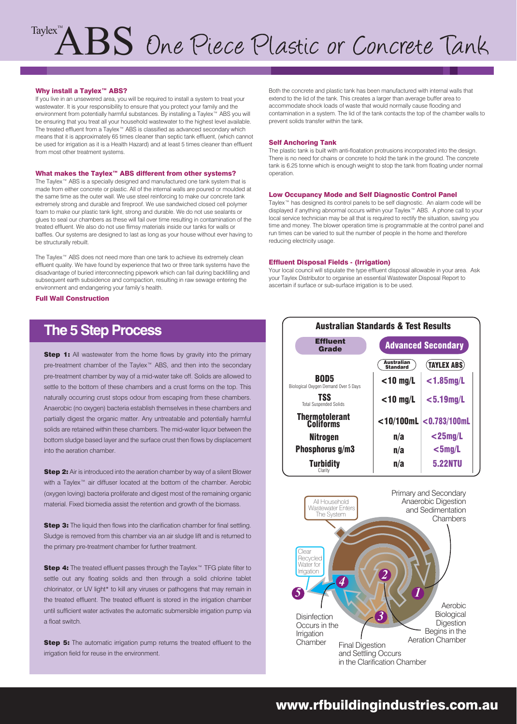# $\bigcap_{\text{Taylor}}$   $\bigcap_{\text{B}}$

#### Why install a Taylex™ ABS?

If you live in an unsewered area, you will be required to install a system to treat your wastewater. It is your responsibility to ensure that you protect your family and the environment from potentially harmful substances. By installing a Taylex™ ABS you will be ensuring that you treat all your household wastewater to the highest level available. The treated effluent from a Taylex™ ABS is classified as advanced secondary which means that it is approximately 65 times cleaner than septic tank effluent, (which cannot be used for irrigation as it is a Health Hazard) and at least 5 times cleaner than effluent from most other treatment systems.

#### What makes the Taylex™ ABS different from other systems?

The Taylex™ ABS is a specially designed and manufactured one tank system that is made from either concrete or plastic. All of the internal walls are poured or moulded at the same time as the outer wall. We use steel reinforcing to make our concrete tank extremely strong and durable and fireproof. We use sandwiched closed cell polymer foam to make our plastic tank light, strong and durable. We do not use sealants or glues to seal our chambers as these will fail over time resulting in contamination of the treated effluent. We also do not use flimsy materials inside our tanks for walls or baffles. Our systems are designed to last as long as your house without ever having to be structurally rebuilt.

The Taylex™ ABS does not need more than one tank to achieve its extremely clean effluent quality. We have found by experience that two or three tank systems have the disadvantage of buried interconnecting pipework which can fail during backfilling and subsequent earth subsidence and compaction, resulting in raw sewage entering the environment and endangering your family's health.

Full Wall Construction

### **The 5 Step Process**

**Step 1:** All wastewater from the home flows by gravity into the primary pre-treatment chamber of the Taylex™ ABS, and then into the secondary pre-treatment chamber by way of a mid-water take off. Solids are allowed to settle to the bottom of these chambers and a crust forms on the top. This naturally occurring crust stops odour from escaping from these chambers. Anaerobic (no oxygen) bacteria establish themselves in these chambers and partially digest the organic matter. Any untreatable and potentially harmful solids are retained within these chambers. The mid-water liquor between the bottom sludge based layer and the surface crust then flows by displacement into the aeration chamber.

**Step 2:** Air is introduced into the aeration chamber by way of a silent Blower with a Taylex<sup>™</sup> air diffuser located at the bottom of the chamber. Aerobic (oxygen loving) bacteria proliferate and digest most of the remaining organic material. Fixed biomedia assist the retention and growth of the biomass.

**Step 3:** The liquid then flows into the clarification chamber for final settling. Sludge is removed from this chamber via an air sludge lift and is returned to the primary pre-treatment chamber for further treatment.

Step 4: The treated effluent passes through the Taylex™ TFG plate filter to settle out any floating solids and then through a solid chlorine tablet chlorinator, or UV light\* to kill any viruses or pathogens that may remain in the treated effluent. The treated effluent is stored in the irrigation chamber until sufficient water activates the automatic submersible irrigation pump via a float switch.

**Step 5:** The automatic irrigation pump returns the treated effluent to the irrigation field for reuse in the environment.

Both the concrete and plastic tank has been manufactured with internal walls that extend to the lid of the tank. This creates a larger than average buffer area to accommodate shock loads of waste that would normally cause flooding and contamination in a system. The lid of the tank contacts the top of the chamber walls to prevent solids transfer within the tank.

#### Self Anchoring Tank

The plastic tank is built with anti-floatation protrusions incorporated into the design. There is no need for chains or concrete to hold the tank in the ground. The concrete tank is 6.25 tonne which is enough weight to stop the tank from floating under normal operation.

#### Low Occupancy Mode and Self Diagnostic Control Panel

Taylex™ has designed its control panels to be self diagnostic. An alarm code will be displayed if anything abnormal occurs within your Taylex™ ABS. A phone call to your local service technician may be all that is required to rectify the situation, saving you time and money. The blower operation time is programmable at the control panel and run times can be varied to suit the number of people in the home and therefore reducing electricity usage.

#### Effluent Disposal Fields - (Irrigation)

Your local council will stipulate the type effluent disposal allowable in your area. Ask your Taylex Distributor to organise an essential Wastewater Disposal Report to ascertain if surface or sub-surface irrigation is to be used.



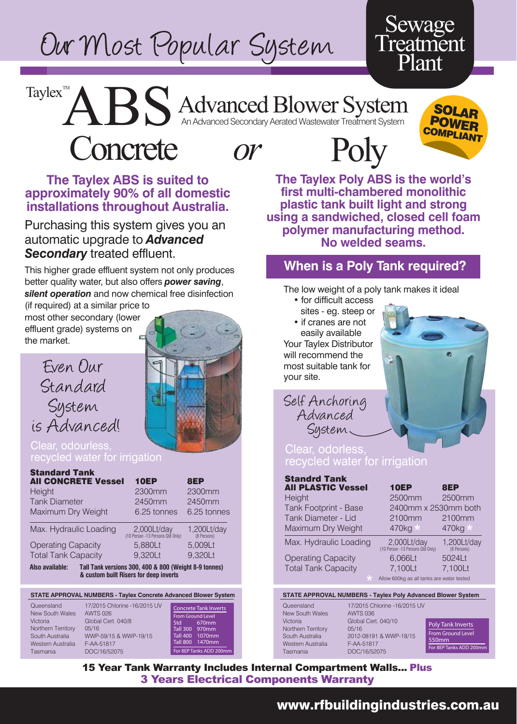# Our Most Popular System

## Sewage **Treatment** Plant

**SOLAR**<br>POWER **COMPLIANT** 

## Advanced Blower System An Advanced Secondary Aerated Wastewater Treatment System

**ABS** Concrete *or*



## Poly

### **The Taylex ABS is suited to approximately 90% of all domestic installations throughout Australia.**

Purchasing this system gives you an automatic upgrade to *Advanced Secondary* treated effluent.

This higher grade effluent system not only produces better quality water, but also offers *power saving*, *silent operation* and now chemical free disinfection

(if required) at a similar price to most other secondary (lower effluent grade) systems on the market.

Taylex $T^M$ 





#### Clear, odourless, recycled water for irrigation

| <b>Standard Tank</b>       |                                                                                                 |                            |
|----------------------------|-------------------------------------------------------------------------------------------------|----------------------------|
| <b>AII CONCRETE Vessel</b> | <b>10EP</b>                                                                                     | 8EP                        |
| Height                     | 2300mm                                                                                          | 2300mm                     |
| <b>Tank Diameter</b>       | 2450mm                                                                                          | 2450mm                     |
| Maximum Dry Weight         | 6.25 tonnes                                                                                     | 6.25 tonnes                |
| Max. Hydraulic Loading     | 2,000Lt/day<br>(10 Person -13 Persons Qld Only)                                                 | 1,200Lt/day<br>(8 Persons) |
| <b>Operating Capacity</b>  | 5,880Lt                                                                                         | 5,009Lt                    |
| <b>Total Tank Capacity</b> | 9,320Lt                                                                                         | 9,320Lt                    |
| Also available:            | Tall Tank versions 300, 400 & 800 (Weight 8-9 tonnes)<br>& custom built Risers for deep inverts |                            |

#### **STATE APPROVAL NUMBERS - Taylex Concrete Advanced Blower System**

| Queensland         | 17/2015 Chlorine -16/2015 UV | <b>Concrete Tank Inverts</b> |
|--------------------|------------------------------|------------------------------|
| New South Wales    | <b>AWTS 026</b>              |                              |
|                    |                              | From Ground Level            |
| Victoria           | Global Cert. 040/8           | 670mm<br>Std -               |
| Northern Territory | 05/16                        | Tall 300 970mm               |
| South Australia    | WWP-59/15 & WWP-19/15        | Tall 400 1070mm              |
| Western Australia  | F-AA-51817                   | Tall 800 1470mm              |
| Tasmania           | DOC/16/52075                 | For 8EP Tanks ADD 200mm      |
|                    |                              |                              |

**The Taylex Poly ABS is the world's first multi-chambered monolithic plastic tank built light and strong using a sandwiched, closed cell foam polymer manufacturing method. No welded seams.**

### **When is a Poly Tank required?**

The low weight of a poly tank makes it ideal

- for difficult access
- sites eg. steep or

 • if cranes are not easily available Your Taylex Distributor will recommend the most suitable tank for your site.

Self Anchoring Advanced System.

#### Clear, odorless, recycled water for irrigation

| <b>Standrd Tank</b><br><b>All PLASTIC Vessel</b> | <b>10EP</b>                                     | 8EP                        |  |
|--------------------------------------------------|-------------------------------------------------|----------------------------|--|
| Height                                           | 2500mm                                          | 2500mm                     |  |
| <b>Tank Footprint - Base</b>                     | 2400mm x 2530mm both                            |                            |  |
| Tank Diameter - Lid                              | 2100mm                                          | 2100mm                     |  |
| Maximum Dry Weight                               | 470kg *                                         | 470kg *                    |  |
| Max. Hydraulic Loading                           | 2,000Lt/day<br>(10 Person -13 Persons Qld Only) | 1,200Lt/day<br>(8 Persons) |  |
| <b>Operating Capacity</b>                        | 6,066Lt                                         | 5024Lt                     |  |
| <b>Total Tank Capacity</b>                       | 7,100Lt                                         | 7.100Lt                    |  |
| $\star$                                          | Allow 600kg as all tanks are water tested       |                            |  |
|                                                  |                                                 |                            |  |

#### **STATE APPROVAL NUMBERS - Taylex Poly Advanced Blower System**

New South Wales AWTS 036 Northern Territory 05/16 Western Australia F-AA-51817

Queensland 17/2015 Chlorine -16/2015 UV Victoria Global Cert. 040/10 South Australia 2012-08191 & WWP-18/15 Tasmania DOC/16/52075

Poly Tank Inverts From Ground Level 550mm For 8EP Tanks ADD 200

15 Year Tank Warranty Includes Internal Compartment Walls... Plus 3 Years Electrical Components Warranty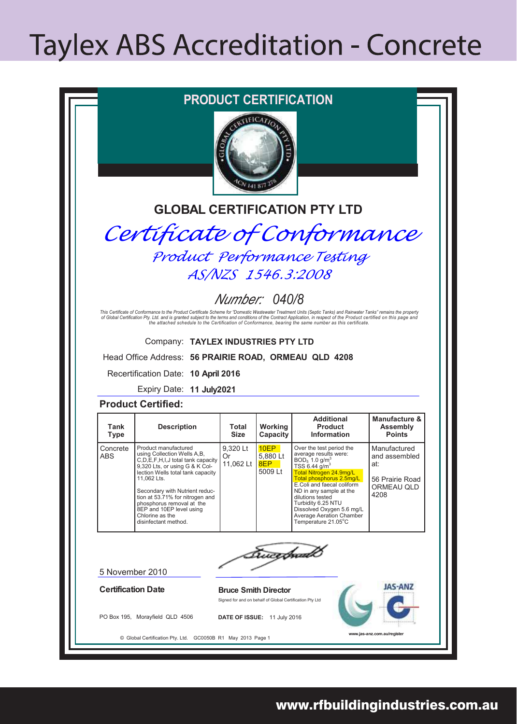## **Taylex ABS Accreditation - Concrete**

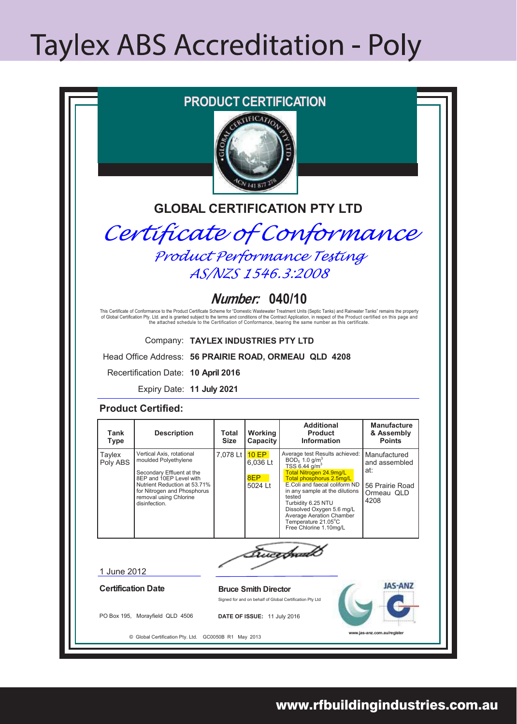## **Taylex ABS Accreditation - Poly**

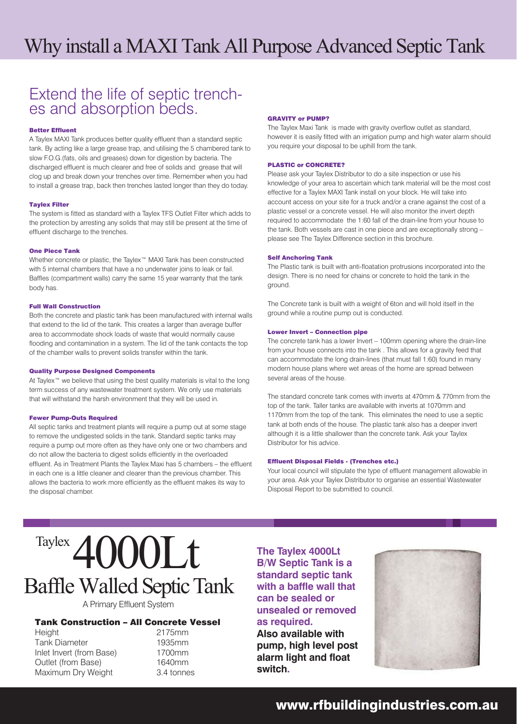## Extend the life of septic trench- es and absorption beds.

#### Better Effluent

A Taylex MAXI Tank produces better quality effluent than a standard septic tank. By acting like a large grease trap, and utilising the 5 chambered tank to slow F.O.G.(fats, oils and greases) down for digestion by bacteria. The discharged effluent is much clearer and free of solids and grease that will clog up and break down your trenches over time. Remember when you had to install a grease trap, back then trenches lasted longer than they do today.

#### Taylex Filter

The system is fitted as standard with a Taylex TFS Outlet Filter which adds to the protection by arresting any solids that may still be present at the time of effluent discharge to the trenches.

#### One Piece Tank

Whether concrete or plastic, the Taylex™ MAXI Tank has been constructed with 5 internal chambers that have a no underwater joins to leak or fail. Baffles (compartment walls) carry the same 15 year warranty that the tank body has.

#### Full Wall Construction

Both the concrete and plastic tank has been manufactured with internal walls that extend to the lid of the tank. This creates a larger than average buffer area to accommodate shock loads of waste that would normally cause flooding and contamination in a system. The lid of the tank contacts the top of the chamber walls to prevent solids transfer within the tank.

#### Quality Purpose Designed Components

At Taylex™ we believe that using the best quality materials is vital to the long term success of any wastewater treatment system. We only use materials that will withstand the harsh environment that they will be used in.

#### Fewer Pump-Outs Required

All septic tanks and treatment plants will require a pump out at some stage to remove the undigested solids in the tank. Standard septic tanks may require a pump out more often as they have only one or two chambers and do not allow the bacteria to digest solids efficiently in the overloaded effluent. As in Treatment Plants the Taylex Maxi has 5 chambers – the effluent in each one is a little cleaner and clearer than the previous chamber. This allows the bacteria to work more efficiently as the effluent makes its way to the disposal chamber.

#### GRAVITY or PUMP?

The Taylex Maxi Tank is made with gravity overflow outlet as standard, however it is easily fitted with an irrigation pump and high water alarm should you require your disposal to be uphill from the tank.

#### PLASTIC or CONCRETE?

Please ask your Taylex Distributor to do a site inspection or use his knowledge of your area to ascertain which tank material will be the most cost effective for a Taylex MAXI Tank install on your block. He will take into account access on your site for a truck and/or a crane against the cost of a plastic vessel or a concrete vessel. He will also monitor the invert depth required to accommodate the 1:60 fall of the drain-line from your house to the tank. Both vessels are cast in one piece and are exceptionally strong – please see The Taylex Difference section in this brochure.

#### Self Anchoring Tank

The Plastic tank is built with anti-floatation protrusions incorporated into the design. There is no need for chains or concrete to hold the tank in the ground.

The Concrete tank is built with a weight of 6ton and will hold itself in the ground while a routine pump out is conducted.

#### Lower Invert – Connection pipe

The concrete tank has a lower Invert – 100mm opening where the drain-line from your house connects into the tank . This allows for a gravity feed that can accommodate the long drain-lines (that must fall 1:60) found in many modern house plans where wet areas of the home are spread between several areas of the house.

The standard concrete tank comes with inverts at 470mm & 770mm from the top of the tank. Taller tanks are available with inverts at 1070mm and 1170mm from the top of the tank. This eliminates the need to use a septic tank at both ends of the house. The plastic tank also has a deeper invert although it is a little shallower than the concrete tank. Ask your Taylex Distributor for his advice.

#### Effluent Disposal Fields - (Trenches etc.)

Your local council will stipulate the type of effluent management allowable in your area. Ask your Taylex Distributor to organise an essential Wastewater Disposal Report to be submitted to council.

## **Baffle Walled Septic Tank** Taylex 4000Lt

A Primary Effluent System

#### Tank Construction – All Concrete Vessel

Height 2175mm Tank Diameter 1935mm Inlet Invert (from Base) 1700mm Outlet (from Base) 1640mm Maximum Dry Weight 3.4 tonnes

**The Taylex 4000Lt B/W Septic Tank is a standard septic tank with a baffle wall that can be sealed or unsealed or removed as required.**

**Also available with pump, high level post alarm light and float switch.**

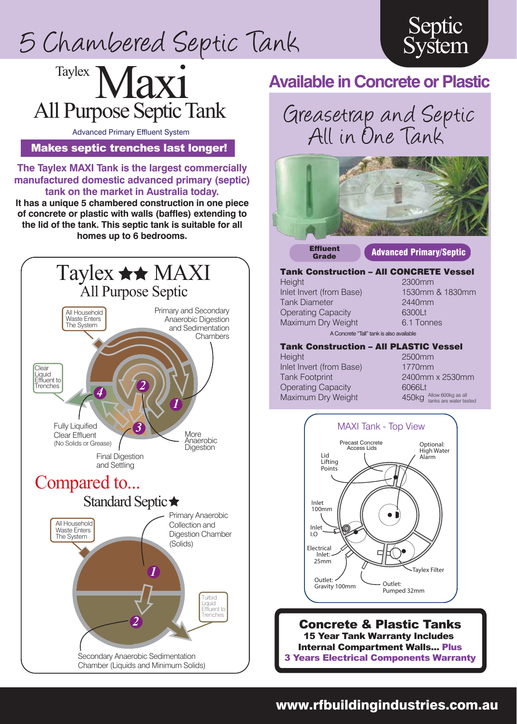## 5 Chambered Septic Tank





Advanced Primary Effluent System

Makes septic trenches last longer!

**The Taylex MAXI Tank is the largest commercially manufactured domestic advanced primary (septic) tank on the market in Australia today.**

**It has a unique 5 chambered construction in one piece of concrete or plastic with walls (baffles) extending to the lid of the tank. This septic tank is suitable for all homes up to 6 bedrooms.**







**Effluent** 

#### **Grade Advanced Primary/Septic**

Tank Construction – All CONCRETE Vessel Height 2300mm Inlet Invert (from Base) 1530mm & 1830mm Tank Diameter 2440mm Operating Capacity 6300Lt Maximum Dry Weight 6.1 Tonnes A Concrete "Tall" tank is also available

#### Tank Construction – All PLASTIC Vessel Height 2500mm

Inlet Invert (from Base) 1770mm Tank Footprint 2400mm x 2530mm Operating Capacity 6066Lt Maximum Dry Weight

450kg Allow 600kg as all<br>tanks are water tested



Concrete & Plastic Tanks 15 Year Tank Warranty Includes Internal Compartment Walls... Plus 3 Years Electrical Components Warranty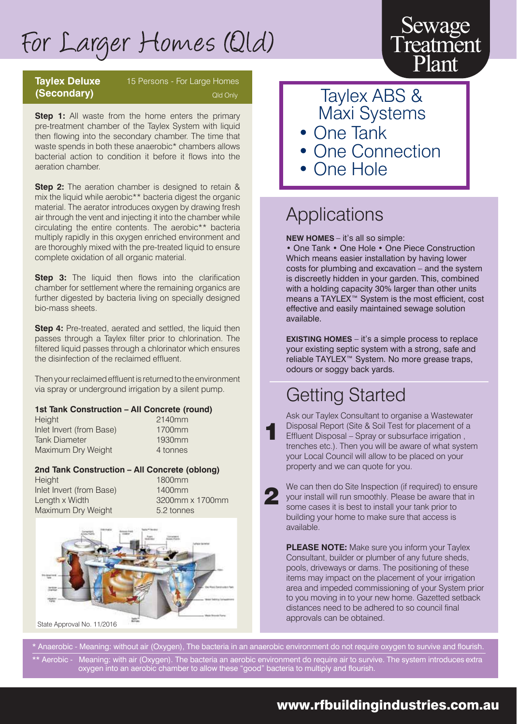## For Larger Homes (Qld)

## **(Secondary)**

## **Taylex Deluxe** 15 Persons - For Large Homes

**Step 1:** All waste from the home enters the primary pre-treatment chamber of the Taylex System with liquid then flowing into the secondary chamber. The time that waste spends in both these anaerobic\* chambers allows bacterial action to condition it before it flows into the aeration chamber.

**Step 2:** The aeration chamber is designed to retain & mix the liquid while aerobic\*\* bacteria digest the organic material. The aerator introduces oxygen by drawing fresh air through the vent and injecting it into the chamber while circulating the entire contents. The aerobic\*\* bacteria multiply rapidly in this oxygen enriched environment and are thoroughly mixed with the pre-treated liquid to ensure complete oxidation of all organic material.

**Step 3:** The liquid then flows into the clarification chamber for settlement where the remaining organics are further digested by bacteria living on specially designed bio-mass sheets.

**Step 4:** Pre-treated, aerated and settled, the liquid then passes through a Taylex filter prior to chlorination. The filtered liquid passes through a chlorinator which ensures the disinfection of the reclaimed effluent.

Then your reclaimed effluent is returned to the environment via spray or underground irrigation by a silent pump.

#### **1st Tank Construction – All Concrete (round)**

Height 2140mm Inlet Invert (from Base) 1700mm Tank Diameter 1930mm Maximum Dry Weight 4 tonnes

#### **2nd Tank Construction – All Concrete (oblong)**

Height 1800mm Inlet Invert (from Base) 1400mm Length x Width 3200mm x 1700mm Maximum Dry Weight 5.2 tonnes



Qld Only **Taylex ABS &** Maxi Systems • One Tank

Sewage

**Treatment** Plant

- **One Connection**
- One Hole

## Applications

**NEW HOMES** – it's all so simple:

• One Tank • One Hole • One Piece Construction Which means easier installation by having lower costs for plumbing and excavation – and the system is discreetly hidden in your garden. This, combined with a holding capacity 30% larger than other units means a TAYLEX™ System is the most efficient, cost effective and easily maintained sewage solution available.

**EXISTING HOMES** – it's a simple process to replace your existing septic system with a strong, safe and reliable TAYLEX™ System. No more grease traps, odours or soggy back yards.

## Getting Started

Ask our Taylex Consultant to organise a Wastewater Disposal Report (Site & Soil Test for placement of a Effluent Disposal – Spray or subsurface irrigation , trenches etc.). Then you will be aware of what system your Local Council will allow to be placed on your property and we can quote for you.

We can then do Site Inspection (if required) to ensure your install will run smoothly. Please be aware that in some cases it is best to install your tank prior to building your home to make sure that access is available.

**PLEASE NOTE:** Make sure you inform your Taylex Consultant, builder or plumber of any future sheds, pools, driveways or dams. The positioning of these items may impact on the placement of your irrigation area and impeded commissioning of your System prior to you moving in to your new home. Gazetted setback distances need to be adhered to so council final approvals can be obtained.

Anaerobic - Meaning: without air (Oxygen), The bacteria in an anaerobic environment do not require oxygen to survive and flourish. \*\* Aerobic - Meaning: with air (Oxygen). The bacteria an aerobic environment do require air to survive. The system introduces extra oxygen into an aerobic chamber to allow these "good" bacteria to multiply and flourish.

1

2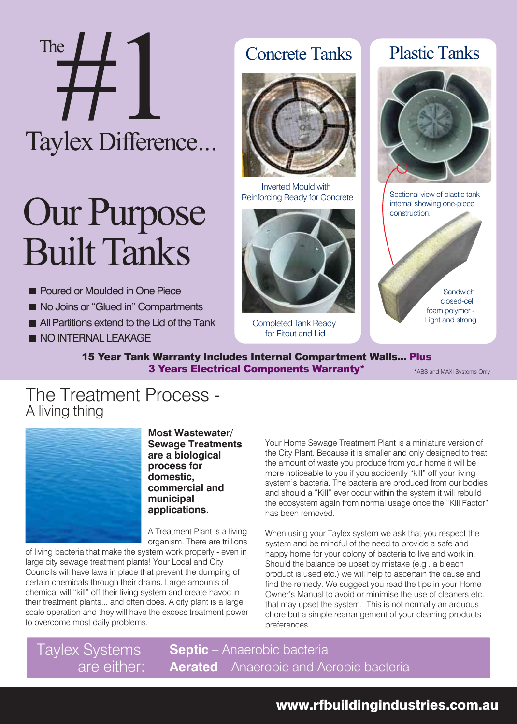# Taylex Difference... The  $\frac{1}{2}$

# Our Purpose **Built Tanks**

- **Poured or Moulded in One Piece**
- No Joins or "Glued in" Compartments
- **All Partitions extend to the Lid of the Tank**
- **NO INTERNAL LEAKAGE**

## Concrete Tanks



Inverted Mould with Reinforcing Ready for Concrete



Completed Tank Ready for Fitout and Lid

## Plastic Tanks



Sectional view of plastic tank internal showing one-piece construction.

> **Sandwich** closed-cell foam polymer - Light and strong

#### 15 Year Tank Warranty Includes Internal Compartment Walls... Plus **3 Years Electrical Components Warranty**\* **ABS** and MAXI Systems Only

## The Treatment Process - A living thing



**Most Wastewater/ Sewage Treatments are a biological process for domestic, commercial and municipal applications.**

A Treatment Plant is a living organism. There are trillions

of living bacteria that make the system work properly - even in large city sewage treatment plants! Your Local and City Councils will have laws in place that prevent the dumping of certain chemicals through their drains. Large amounts of chemical will "kill" off their living system and create havoc in their treatment plants... and often does. A city plant is a large scale operation and they will have the excess treatment power to overcome most daily problems.

l

Your Home Sewage Treatment Plant is a miniature version of the City Plant. Because it is smaller and only designed to treat the amount of waste you produce from your home it will be more noticeable to you if you accidently "kill" off your living system's bacteria. The bacteria are produced from our bodies and should a "Kill" ever occur within the system it will rebuild the ecosystem again from normal usage once the "Kill Factor" has been removed.

When using your Taylex system we ask that you respect the system and be mindful of the need to provide a safe and happy home for your colony of bacteria to live and work in. Should the balance be upset by mistake (e.g . a bleach product is used etc.) we will help to ascertain the cause and find the remedy. We suggest you read the tips in your Home Owner's Manual to avoid or minimise the use of cleaners etc. that may upset the system. This is not normally an arduous chore but a simple rearrangement of your cleaning products preferences.

Taylex Systems are either: **Septic** – Anaerobic bacteria **Aerated** – Anaerobic and Aerobic bacteria